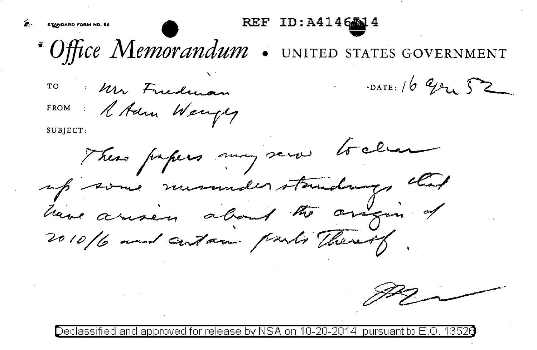- ~. S~DARD **FORM NO. 64 e** REF ID:A414Eifj..4 ..... •- *Office Memorandum*  UNITED STATES GOVERNMENT ,.
	-

TO : Un Frederan DATE: 16 Gru 52

FROM : A Adm Wengly

SUBJECT:

These papers may serve to clear up some museusderstandings chart have arisen about the arigin of

tied and approved for release by NSA on 10-20-2014 pursuant to E.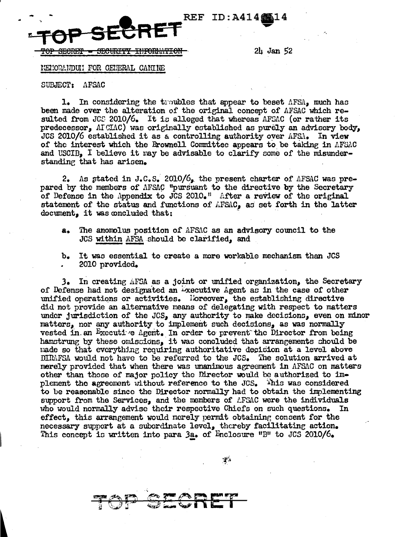

 $2\mu$  Jan 52

MENORANDUN FOR GENERAL CANINE

SUBJECT: AFSAC

1. In considering the troubles that appear to beset AFSA, much has been made over the alteration of the original concept of AFSAC which resulted from JCS 2010/6. It is alleged that whereas AFSAC (or rather its predecessor,  $\Lambda$ ICIAC) was originally established as purely an advisory body, JCS 2010/6 established it as a controlling authority over AFSA. In view of the interest which the Brownell Committee appears to be taking in AFSAC and USCIB. I believe it may be advisable to clarify some of the misunderstanding that has arisen.

2. As stated in J.C.S. 2010/6, the present charter of AFSAC was prepared by the members of AFSAC "pursuant to the directive by the Secretary of Defense in the Appendix to JCS 2010.<sup>11</sup> After a review of the original statement of the status and functions of AFSAC, as set forth in the latter document, it was concluded that:

The anomolus position of AFSAC as an advisory council to the **a.** JCS within AFSA should be clarified, and

It was essential to create a more workable mechanism than JCS  $b_{\bullet}$ 2010 provided.

3. In creating AFSA as a joint or unified organization, the Secretary of Defense had not designated an Executive Agent as in the case of other unified operations or activities. l'oreover, the establishing directive did not provide an alternative means of delegating with respect to matters under jurisdiction of the JCS, any authority to make decisions, even on minor matters, nor any authority to implement such decisions, as was normally vested in an Executive Agent. In order to prevent the Director from being hamstrung by these omiscions, it was concluded that arrangements should be made so that everything requiring authoritative decision at a level above DIRMFSA would not have to be referred to the JCS. The solution arrived at merely provided that when there was unanimous agreement in AFSAC on matters other than those of major policy the Director would be authorized to implement the agreement without reference to the JCS. This was considered to be reasonable since the Director normally had to obtain the implementing support from the Services, and the members of AFSAC were the individuals who would normally advise their respective Chiefs on such questions. In effect, this arrangement would merely permit obtaining consent for the necessary support at a subordinate level, thereby facilitating action. This concept is written into para 3a. of Enclosure "B" to JCS 2010/6.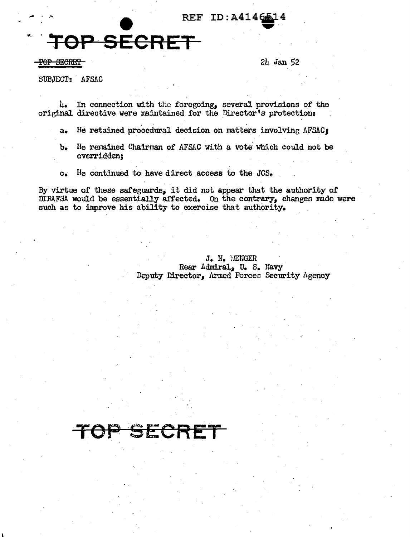## REF ID:A41466

## **OP SECRET**

 $\overline{CP}$  SECRET  $2l_1$  Jan 52

SUBJECT: AFSAC

4. In connection with the forogoing, several provisions of the original directive were maintained for the Director's protection:

- a. He retained procedural decision on matters involving AFSAC:
- b. He remained Chairman of AFSAC with a vote which could not be overridden;
- c. He continued to have direct access to the JCS.

By virtue of these safeguards, it did not appear that the authority of  $\overline{\text{M}}$ RAFSA would be essentially affected. On the contrary, changes made were such as to inprove his ability to exercise that authority.

> J. N. WENGER Rear Admiral, U. S. Navy Deputy Director, Armed Forces Security Agency

> > ',

## OP SECR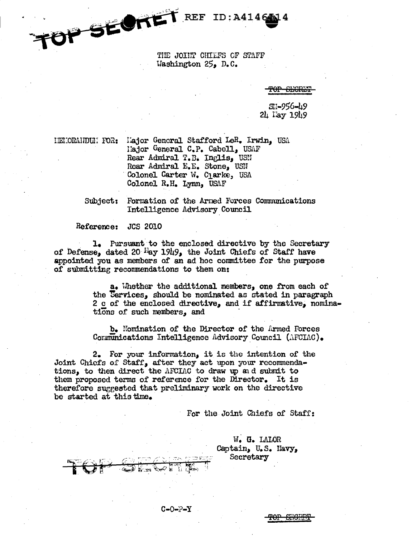THE JOINT CHIEFS OF STAFF Washington  $25$ , D.C.

 $ID: A4146414$ 

<del>SEGR.</del>

SH-956-49  $2\mu$  l'ay 1949

IENIORANDUM FOR: Hajor General Stafford LeR. Irwin. USA Hajor General C.P. Cabell, USAF Rear Admiral T.B. Inglis, USN Rear Admiral E.E. Stone, USN Colonel Carter W. Cjarke, USA Colonel R.H. Lynn, USAF

> Subject: Formation of the Armed Forces Communications Intelligence Advisory Council

## Reference: JCS 2010

OP SECRET REF

1. Pursuant to the enclosed directive by the Secretary of Defense, dated 20 <sup>Fi</sup>ay 1949, the Joint Chiefs of Staff have appointed you as members of an ad hoc committee for the purpose of submitting recommendations to them on:

> a. Whether the additional members, one from each of the Services, should be nominated as stated in paragraph 2 c of the enclosed directive, and if affirmative, nominations of such members, and

b. Nomination of the Director of the Armed Forces Communications Intelligence Advisory Council (AFCIAC).

2. For your information, it is the intention of the Joint Chiefs of Staff, after they act upon your recommendations, to then direct the AFCIAC to draw up and submit to them proposed terms of reference for the Director. It is therefore suggested that preliminary work on the directive be started at this time.

 $C = 0 - P - Y$ 

For the Joint Chiefs of Staff:

W. G. LALOR Captain, U.S. Navy, Secretary